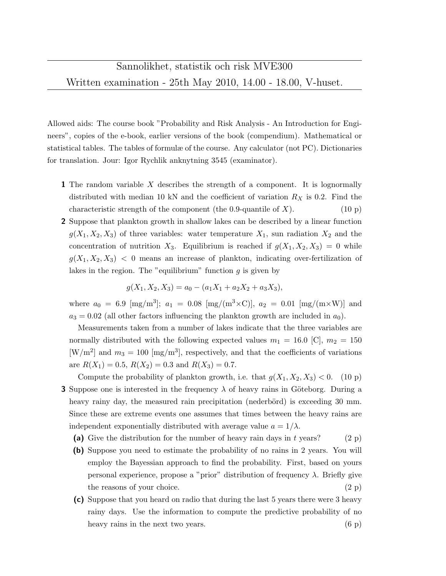Allowed aids: The course book "Probability and Risk Analysis - An Introduction for Engineers", copies of the e-book, earlier versions of the book (compendium). Mathematical or statistical tables. The tables of formulæ of the course. Any calculator (not PC). Dictionaries for translation. Jour: Igor Rychlik anknytning 3545 (examinator).

- 1 The random variable X describes the strength of a component. It is lognormally distributed with median 10 kN and the coefficient of variation  $R_X$  is 0.2. Find the characteristic strength of the component (the 0.9-quantile of X).  $(10 \text{ p})$
- 2 Suppose that plankton growth in shallow lakes can be described by a linear function  $g(X_1, X_2, X_3)$  of three variables: water temperature  $X_1$ , sun radiation  $X_2$  and the concentration of nutrition  $X_3$ . Equilibrium is reached if  $g(X_1, X_2, X_3) = 0$  while  $g(X_1, X_2, X_3)$  < 0 means an increase of plankton, indicating over-fertilization of lakes in the region. The "equilibrium" function  $g$  is given by

$$
g(X_1, X_2, X_3) = a_0 - (a_1X_1 + a_2X_2 + a_3X_3),
$$

where  $a_0 = 6.9 \text{ [mg/m}^3\text{]}; a_1 = 0.08 \text{ [mg/(m}^3 \times \text{C)}\text{], } a_2 = 0.01 \text{ [mg/(m} \times \text{W)}\text{]}$  and  $a_3 = 0.02$  (all other factors influencing the plankton growth are included in  $a_0$ ).

Measurements taken from a number of lakes indicate that the three variables are normally distributed with the following expected values  $m_1 = 16.0$  [C],  $m_2 = 150$ [W/m<sup>2</sup>] and  $m_3 = 100$  [mg/m<sup>3</sup>], respectively, and that the coefficients of variations are  $R(X_1) = 0.5$ ,  $R(X_2) = 0.3$  and  $R(X_3) = 0.7$ .

Compute the probability of plankton growth, i.e. that  $g(X_1, X_2, X_3) < 0$ . (10 p) **3** Suppose one is interested in the frequency  $\lambda$  of heavy rains in Göteborg. During a heavy rainy day, the measured rain precipitation (nederbörd) is exceeding 30 mm. Since these are extreme events one assumes that times between the heavy rains are independent exponentially distributed with average value  $a = 1/\lambda$ .

- (a) Give the distribution for the number of heavy rain days in t years? (2 p)
- (b) Suppose you need to estimate the probability of no rains in 2 years. You will employ the Bayessian approach to find the probability. First, based on yours personal experience, propose a "prior" distribution of frequency  $\lambda$ . Briefly give the reasons of your choice.  $(2 p)$
- (c) Suppose that you heard on radio that during the last 5 years there were 3 heavy rainy days. Use the information to compute the predictive probability of no heavy rains in the next two years. (6 p)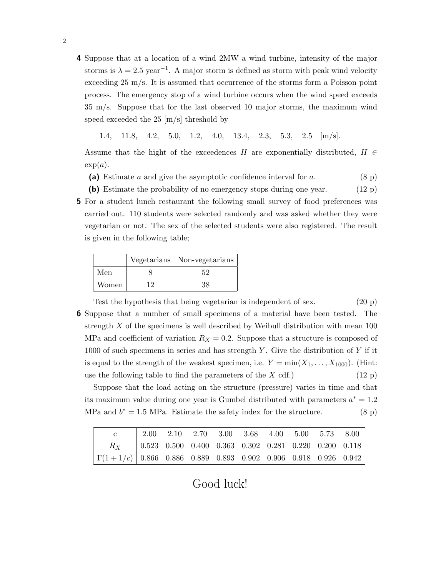- 4 Suppose that at a location of a wind 2MW a wind turbine, intensity of the major storms is  $\lambda = 2.5$  year<sup>-1</sup>. A major storm is defined as storm with peak wind velocity exceeding 25 m/s. It is assumed that occurrence of the storms form a Poisson point process. The emergency stop of a wind turbine occurs when the wind speed exceeds 35 m/s. Suppose that for the last observed 10 major storms, the maximum wind speed exceeded the 25  $[m/s]$  threshold by
	- 1.4, 11.8, 4.2, 5.0, 1.2, 4.0, 13.4, 2.3, 5.3, 2.5 [m/s].

Assume that the hight of the exceedences H are exponentially distributed,  $H \in$  $exp(a)$ .

- (a) Estimate a and give the asymptotic confidence interval for a.  $(8 \text{ p})$
- (b) Estimate the probability of no emergency stops during one year. (12 p)
- 5 For a student lunch restaurant the following small survey of food preferences was carried out. 110 students were selected randomly and was asked whether they were vegetarian or not. The sex of the selected students were also registered. The result is given in the following table;

|       |    | Vegetarians Non-vegetarians |  |  |  |
|-------|----|-----------------------------|--|--|--|
| Men   |    | 52                          |  |  |  |
| Women | 19 | 38                          |  |  |  |

Test the hypothesis that being vegetarian is independent of sex. (20 p) 6 Suppose that a number of small specimens of a material have been tested. The strength X of the specimens is well described by Weibull distribution with mean 100 MPa and coefficient of variation  $R_X = 0.2$ . Suppose that a structure is composed of 1000 of such specimens in series and has strength Y. Give the distribution of Y if it is equal to the strength of the weakest specimen, i.e.  $Y = min(X_1, \ldots, X_{1000})$ . (Hint: use the following table to find the parameters of the  $X$  cdf.) (12 p)

Suppose that the load acting on the structure (pressure) varies in time and that its maximum value during one year is Gumbel distributed with parameters  $a^* = 1.2$ MPa and  $b^* = 1.5$  MPa. Estimate the safety index for the structure. (8 p)

|                                                                                                             | $2.00$ $2.10$ $2.70$ $3.00$ $3.68$ $4.00$ $5.00$ $5.73$ $8.00$ |  |  |  |  |
|-------------------------------------------------------------------------------------------------------------|----------------------------------------------------------------|--|--|--|--|
| $R_X$ $\begin{array}{ l} 0.523 & 0.500 & 0.400 & 0.363 & 0.302 & 0.281 & 0.220 & 0.200 & 0.118 \end{array}$ |                                                                |  |  |  |  |
| $\left[\Gamma(1+1/c)\right]0.866$ 0.886 0.889 0.893 0.902 0.906 0.918 0.926 0.942                           |                                                                |  |  |  |  |

Good luck!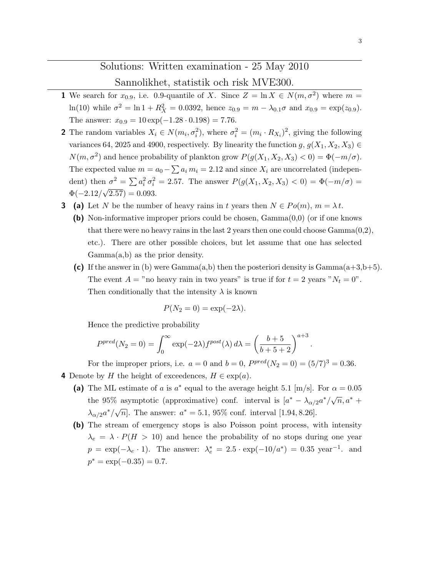## Solutions: Written examination - 25 May 2010

## Sannolikhet, statistik och risk MVE300.

- **1** We search for  $x_{0.9}$ , i.e. 0.9-quantile of X. Since  $Z = \ln X \in N(m, \sigma^2)$  where  $m =$ ln(10) while  $\sigma^2 = \ln 1 + R_X^2 = 0.0392$ , hence  $z_{0.9} = m - \lambda_{0.1} \sigma$  and  $x_{0.9} = \exp(z_{0.9})$ . The answer:  $x_{0.9} = 10 \exp(-1.28 \cdot 0.198) = 7.76$ .
- **2** The random variables  $X_i \in N(m_i, \sigma_i^2)$ , where  $\sigma_i^2 = (m_i \cdot R_{X_i})^2$ , giving the following variances 64, 2025 and 4900, respectively. By linearity the function  $g, g(X_1, X_2, X_3) \in$  $N(m, \sigma^2)$  and hence probability of plankton grow  $P(g(X_1, X_2, X_3) < 0) = \Phi(-m/\sigma)$ . The expected value  $m = a_0 - \sum a_i m_i = 2.12$  and since  $X_i$  are uncorrelated (independent) then  $\sigma^2 = \sum a_i^2 \sigma_i^2 = 2.57$ . The answer  $P(g(X_1, X_2, X_3) < 0) = \Phi(-m/\sigma) =$  $\Phi(-2.12/\sqrt{2.57}) = 0.093.$
- **3** (a) Let N be the number of heavy rains in t years then  $N \in Po(m)$ ,  $m = \lambda t$ .
	- (b) Non-informative improper priors could be chosen, Gamma(0,0) (or if one knows that there were no heavy rains in the last 2 years then one could choose  $Gamma(0,2)$ , etc.). There are other possible choices, but let assume that one has selected Gamma(a,b) as the prior density.
	- (c) If the answer in (b) were  $Gamma(a,b)$  then the posteriori density is  $Gamma(a+3,b+5)$ . The event  $A =$ " no heavy rain in two years" is true if for  $t = 2$  years " $N_t = 0$ ". Then conditionally that the intensity  $\lambda$  is known

$$
P(N_2 = 0) = \exp(-2\lambda).
$$

Hence the predictive probability

$$
P^{pred}(N_2 = 0) = \int_0^\infty \exp(-2\lambda) f^{post}(\lambda) d\lambda = \left(\frac{b+5}{b+5+2}\right)^{a+3}.
$$

For the improper priors, i.e.  $a = 0$  and  $b = 0$ ,  $P^{pred}(N_2 = 0) = (5/7)^3 = 0.36$ . 4 Denote by H the height of exceedences,  $H \in \exp(a)$ .

- (a) The ML estimate of a is  $a^*$  equal to the average height 5.1 [m/s]. For  $\alpha = 0.05$ the 95% asymptotic (approximative) conf. interval is  $[a^* - \lambda_{\alpha/2}a^*/\sqrt{n}, a^* +$  $\lambda_{\alpha/2} a^*/\sqrt{n}$ . The answer:  $a^* = 5.1$ , 95% conf. interval [1.94, 8.26].
- (b) The stream of emergency stops is also Poisson point process, with intensity  $\lambda_e = \lambda \cdot P(H > 10)$  and hence the probability of no stops during one year  $p = \exp(-\lambda_e \cdot 1)$ . The answer:  $\lambda_e^* = 2.5 \cdot \exp(-10/a^*) = 0.35 \text{ year}^{-1}$ . and  $p^* = \exp(-0.35) = 0.7.$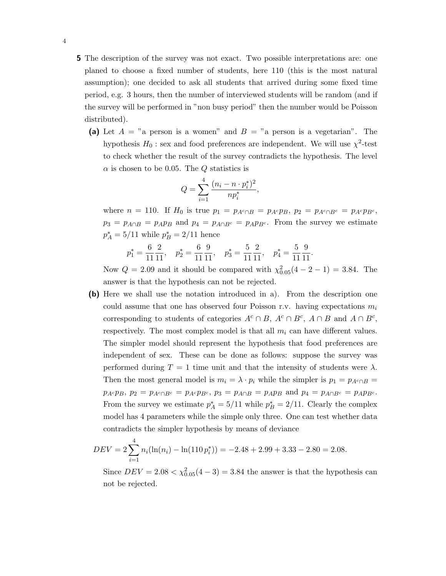- 5 The description of the survey was not exact. Two possible interpretations are: one planed to choose a fixed number of students, here 110 (this is the most natural assumption); one decided to ask all students that arrived during some fixed time period, e.g. 3 hours, then the number of interviewed students will be random (and if the survey will be performed in "non busy period" then the number would be Poisson distributed).
	- (a) Let  $A = "a$  person is a women" and  $B = "a$  person is a vegetarian". The hypothesis  $H_0$ : sex and food preferences are independent. We will use  $\chi^2$ -test to check whether the result of the survey contradicts the hypothesis. The level  $\alpha$  is chosen to be 0.05. The Q statistics is

$$
Q = \sum_{i=1}^{4} \frac{(n_i - n \cdot p_i^*)^2}{np_i^*},
$$

where  $n = 110$ . If  $H_0$  is true  $p_1 = p_{A^c \cap B} = p_{A^c} p_B$ ,  $p_2 = p_{A^c \cap B^c} = p_{A^c} p_{B^c}$ ,  $p_3 = p_{A \cap B} = p_A p_B$  and  $p_4 = p_{A \cap B^c} = p_A p_B$ . From the survey we estimate  $p_A^* = 5/11$  while  $p_B^* = 2/11$  hence

$$
p_1^* = \frac{6}{11} \frac{2}{11}, \quad p_2^* = \frac{6}{11} \frac{9}{11}, \quad p_3^* = \frac{5}{11} \frac{2}{11}, \quad p_4^* = \frac{5}{11} \frac{9}{11}.
$$

Now  $Q = 2.09$  and it should be compared with  $\chi_{0.05}^2(4 - 2 - 1) = 3.84$ . The answer is that the hypothesis can not be rejected.

(b) Here we shall use the notation introduced in a). From the description one could assume that one has observed four Poisson r.v. having expectations  $m_i$ corresponding to students of categories  $A^c \cap B$ ,  $A^c \cap B^c$ ,  $A \cap B$  and  $A \cap B^c$ , respectively. The most complex model is that all  $m_i$  can have different values. The simpler model should represent the hypothesis that food preferences are independent of sex. These can be done as follows: suppose the survey was performed during  $T = 1$  time unit and that the intensity of students were  $\lambda$ . Then the most general model is  $m_i = \lambda \cdot p_i$  while the simpler is  $p_1 = p_{A \cap B}$  $p_{A} \circ p_{B}$ ,  $p_{2} = p_{A} \circ_{\cap B} = p_{A} \circ p_{B}$ ,  $p_{3} = p_{A} \circ_{\cap B} = p_{A} p_{B}$  and  $p_{4} = p_{A} \circ_{\cap B} = p_{A} p_{B}$ . From the survey we estimate  $p_A^* = 5/11$  while  $p_B^* = 2/11$ . Clearly the complex model has 4 parameters while the simple only three. One can test whether data contradicts the simpler hypothesis by means of deviance

$$
DEV = 2\sum_{i=1}^{4} n_i(\ln(n_i) - \ln(110 p_i^*)) = -2.48 + 2.99 + 3.33 - 2.80 = 2.08.
$$

Since  $DEV = 2.08 < \chi^{2}_{0.05}(4-3) = 3.84$  the answer is that the hypothesis can not be rejected.